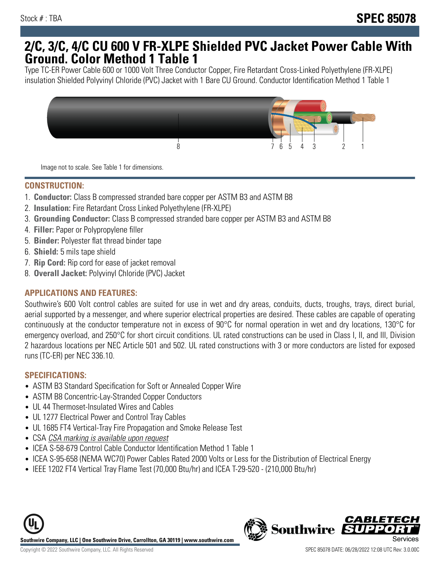## **2/C, 3/C, 4/C CU 600 V FR-XLPE Shielded PVC Jacket Power Cable With Ground. Color Method 1 Table 1**

Type TC-ER Power Cable 600 or 1000 Volt Three Conductor Copper, Fire Retardant Cross-Linked Polyethylene (FR-XLPE) insulation Shielded Polyvinyl Chloride (PVC) Jacket with 1 Bare CU Ground. Conductor Identification Method 1 Table 1



Image not to scale. See Table 1 for dimensions.

#### **CONSTRUCTION:**

- 1. **Conductor:** Class B compressed stranded bare copper per ASTM B3 and ASTM B8
- 2. **Insulation:** Fire Retardant Cross Linked Polyethylene (FR-XLPE)
- 3. **Grounding Conductor:** Class B compressed stranded bare copper per ASTM B3 and ASTM B8
- 4. **Filler:** Paper or Polypropylene filler
- 5. **Binder:** Polyester flat thread binder tape
- 6. **Shield:** 5 mils tape shield
- 7. **Rip Cord:** Rip cord for ease of jacket removal
- 8. **Overall Jacket:** Polyvinyl Chloride (PVC) Jacket

### **APPLICATIONS AND FEATURES:**

Southwire's 600 Volt control cables are suited for use in wet and dry areas, conduits, ducts, troughs, trays, direct burial, aerial supported by a messenger, and where superior electrical properties are desired. These cables are capable of operating continuously at the conductor temperature not in excess of 90°C for normal operation in wet and dry locations, 130°C for emergency overload, and 250°C for short circuit conditions. UL rated constructions can be used in Class I, II, and III, Division 2 hazardous locations per NEC Article 501 and 502. UL rated constructions with 3 or more conductors are listed for exposed runs (TC-ER) per NEC 336.10.

#### **SPECIFICATIONS:**

- ASTM B3 Standard Specification for Soft or Annealed Copper Wire
- ASTM B8 Concentric-Lay-Stranded Copper Conductors
- UL 44 Thermoset-Insulated Wires and Cables
- UL 1277 Electrical Power and Control Tray Cables
- UL 1685 FT4 Vertical-Tray Fire Propagation and Smoke Release Test
- CSA CSA marking is available upon request
- ICEA S-58-679 Control Cable Conductor Identification Method 1 Table 1
- ICEA S-95-658 (NEMA WC70) Power Cables Rated 2000 Volts or Less for the Distribution of Electrical Energy
- IEEE 1202 FT4 Vertical Tray Flame Test (70,000 Btu/hr) and ICEA T-29-520 (210,000 Btu/hr)



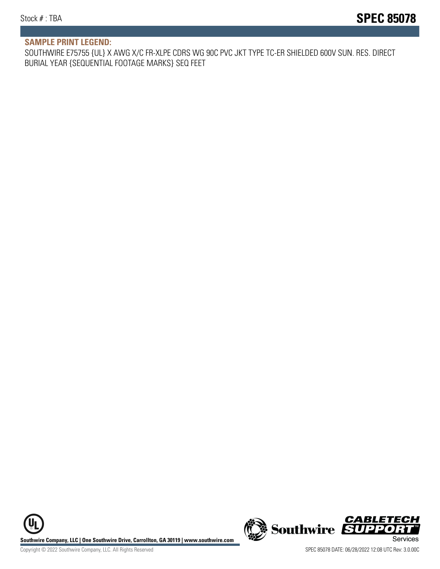#### **SAMPLE PRINT LEGEND:**

SOUTHWIRE E75755 {UL} X AWG X/C FR-XLPE CDRS WG 90C PVC JKT TYPE TC-ER SHIELDED 600V SUN. RES. DIRECT BURIAL YEAR {SEQUENTIAL FOOTAGE MARKS} SEQ FEET

**U Southwire Company, LLC | One Southwire Drive, Carrollton, GA 30119 | www.southwire.com (New Southwire SUPPORTI**